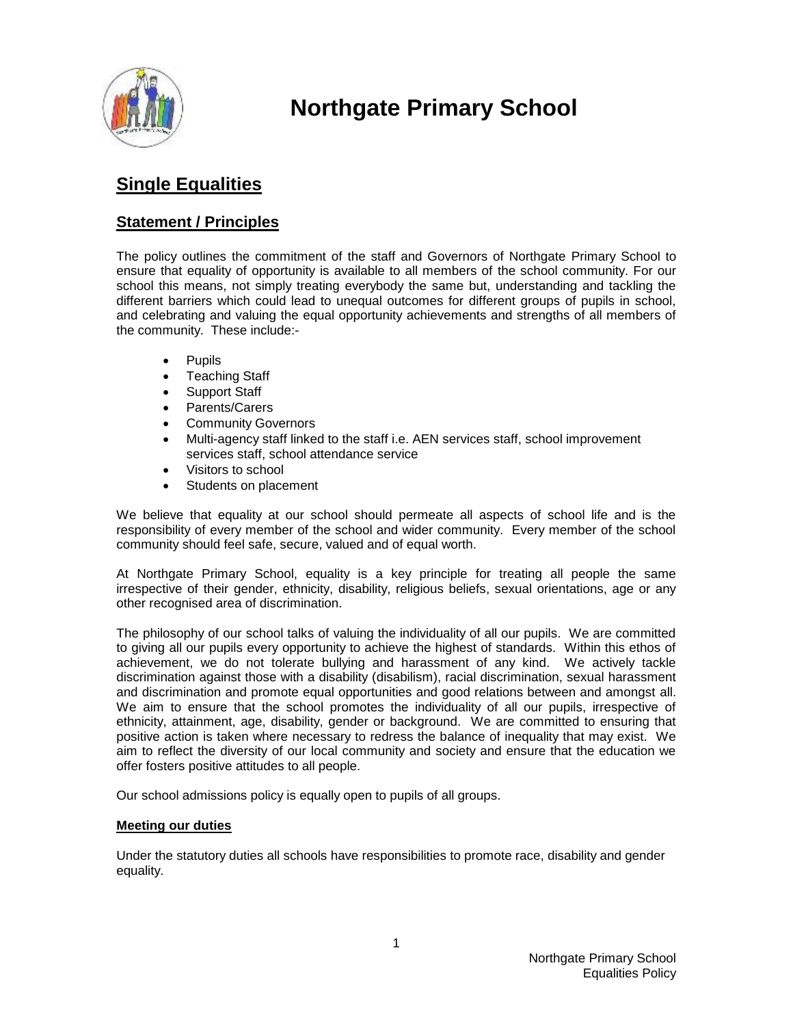

# **Northgate Primary School**

# **Single Equalities**

# **Statement / Principles**

The policy outlines the commitment of the staff and Governors of Northgate Primary School to ensure that equality of opportunity is available to all members of the school community. For our school this means, not simply treating everybody the same but, understanding and tackling the different barriers which could lead to unequal outcomes for different groups of pupils in school, and celebrating and valuing the equal opportunity achievements and strengths of all members of the community. These include:-

- Pupils
- Teaching Staff
- Support Staff
- Parents/Carers
- Community Governors
- Multi-agency staff linked to the staff i.e. AEN services staff, school improvement services staff, school attendance service
- Visitors to school
- Students on placement

We believe that equality at our school should permeate all aspects of school life and is the responsibility of every member of the school and wider community. Every member of the school community should feel safe, secure, valued and of equal worth.

At Northgate Primary School, equality is a key principle for treating all people the same irrespective of their gender, ethnicity, disability, religious beliefs, sexual orientations, age or any other recognised area of discrimination.

The philosophy of our school talks of valuing the individuality of all our pupils. We are committed to giving all our pupils every opportunity to achieve the highest of standards. Within this ethos of achievement, we do not tolerate bullying and harassment of any kind. We actively tackle discrimination against those with a disability (disabilism), racial discrimination, sexual harassment and discrimination and promote equal opportunities and good relations between and amongst all. We aim to ensure that the school promotes the individuality of all our pupils, irrespective of ethnicity, attainment, age, disability, gender or background. We are committed to ensuring that positive action is taken where necessary to redress the balance of inequality that may exist. We aim to reflect the diversity of our local community and society and ensure that the education we offer fosters positive attitudes to all people.

Our school admissions policy is equally open to pupils of all groups.

#### **Meeting our duties**

Under the statutory duties all schools have responsibilities to promote race, disability and gender equality.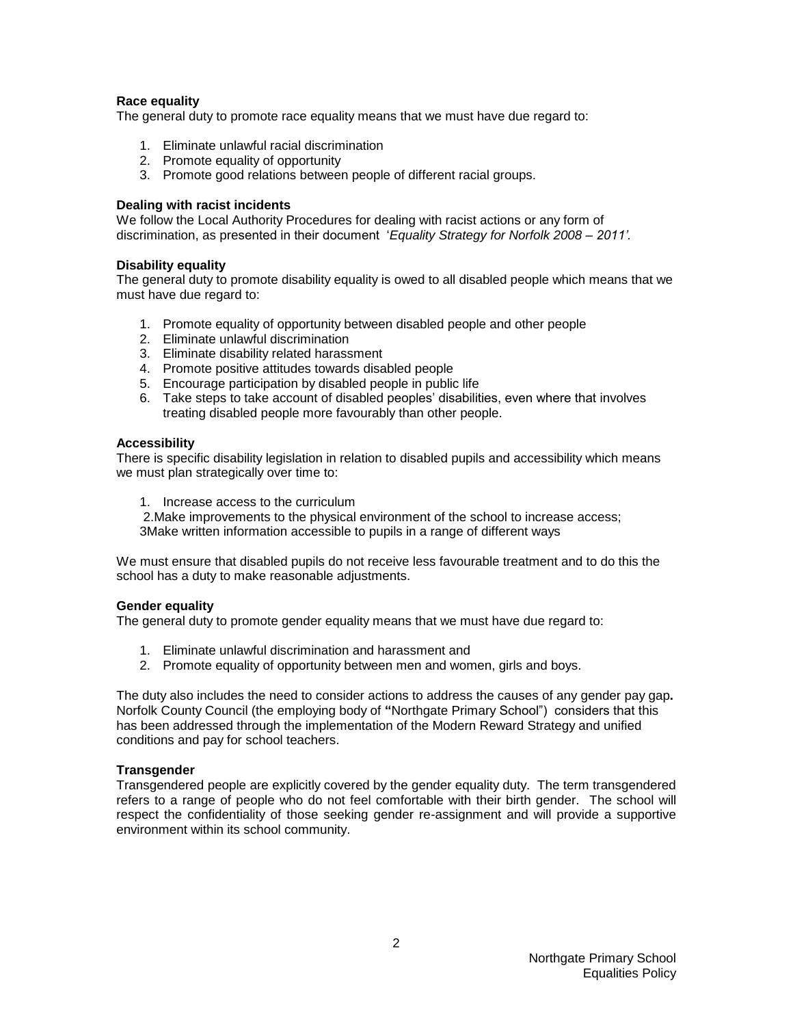#### **Race equality**

The general duty to promote race equality means that we must have due regard to:

- 1. Eliminate unlawful racial discrimination
- 2. Promote equality of opportunity
- 3. Promote good relations between people of different racial groups.

#### **Dealing with racist incidents**

We follow the Local Authority Procedures for dealing with racist actions or any form of discrimination, as presented in their document '*Equality Strategy for Norfolk 2008 – 2011'.*

#### **Disability equality**

The general duty to promote disability equality is owed to all disabled people which means that we must have due regard to:

- 1. Promote equality of opportunity between disabled people and other people
- 2. Eliminate unlawful discrimination
- 3. Eliminate disability related harassment
- 4. Promote positive attitudes towards disabled people
- 5. Encourage participation by disabled people in public life
- 6. Take steps to take account of disabled peoples' disabilities, even where that involves treating disabled people more favourably than other people.

#### **Accessibility**

There is specific disability legislation in relation to disabled pupils and accessibility which means we must plan strategically over time to:

1. Increase access to the curriculum

2.Make improvements to the physical environment of the school to increase access; 3Make written information accessible to pupils in a range of different ways

We must ensure that disabled pupils do not receive less favourable treatment and to do this the school has a duty to make reasonable adjustments.

#### **Gender equality**

The general duty to promote gender equality means that we must have due regard to:

- 1. Eliminate unlawful discrimination and harassment and
- 2. Promote equality of opportunity between men and women, girls and boys.

The duty also includes the need to consider actions to address the causes of any gender pay gap**.** Norfolk County Council (the employing body of **"**Northgate Primary School") considers that this has been addressed through the implementation of the Modern Reward Strategy and unified conditions and pay for school teachers.

#### **Transgender**

Transgendered people are explicitly covered by the gender equality duty. The term transgendered refers to a range of people who do not feel comfortable with their birth gender. The school will respect the confidentiality of those seeking gender re-assignment and will provide a supportive environment within its school community.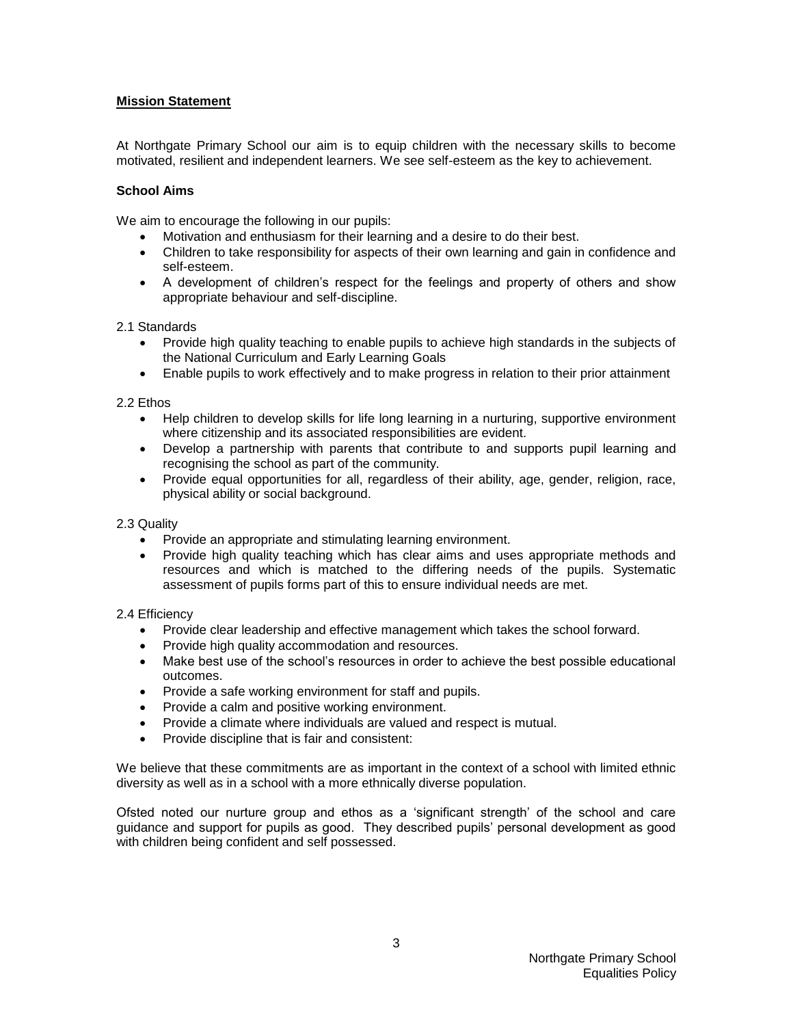#### **Mission Statement**

At Northgate Primary School our aim is to equip children with the necessary skills to become motivated, resilient and independent learners. We see self-esteem as the key to achievement.

#### **School Aims**

We aim to encourage the following in our pupils:

- Motivation and enthusiasm for their learning and a desire to do their best.
- Children to take responsibility for aspects of their own learning and gain in confidence and self-esteem.
- A development of children's respect for the feelings and property of others and show appropriate behaviour and self-discipline.

#### 2.1 Standards

- Provide high quality teaching to enable pupils to achieve high standards in the subjects of the National Curriculum and Early Learning Goals
- Enable pupils to work effectively and to make progress in relation to their prior attainment

#### 2.2 Ethos

- Help children to develop skills for life long learning in a nurturing, supportive environment where citizenship and its associated responsibilities are evident.
- Develop a partnership with parents that contribute to and supports pupil learning and recognising the school as part of the community.
- Provide equal opportunities for all, regardless of their ability, age, gender, religion, race, physical ability or social background.

#### 2.3 Quality

- Provide an appropriate and stimulating learning environment.
- Provide high quality teaching which has clear aims and uses appropriate methods and resources and which is matched to the differing needs of the pupils. Systematic assessment of pupils forms part of this to ensure individual needs are met.

#### 2.4 Efficiency

- Provide clear leadership and effective management which takes the school forward.
- Provide high quality accommodation and resources.
- Make best use of the school's resources in order to achieve the best possible educational outcomes.
- Provide a safe working environment for staff and pupils.
- Provide a calm and positive working environment.
- Provide a climate where individuals are valued and respect is mutual.
- Provide discipline that is fair and consistent:

We believe that these commitments are as important in the context of a school with limited ethnic diversity as well as in a school with a more ethnically diverse population.

Ofsted noted our nurture group and ethos as a 'significant strength' of the school and care guidance and support for pupils as good. They described pupils' personal development as good with children being confident and self possessed.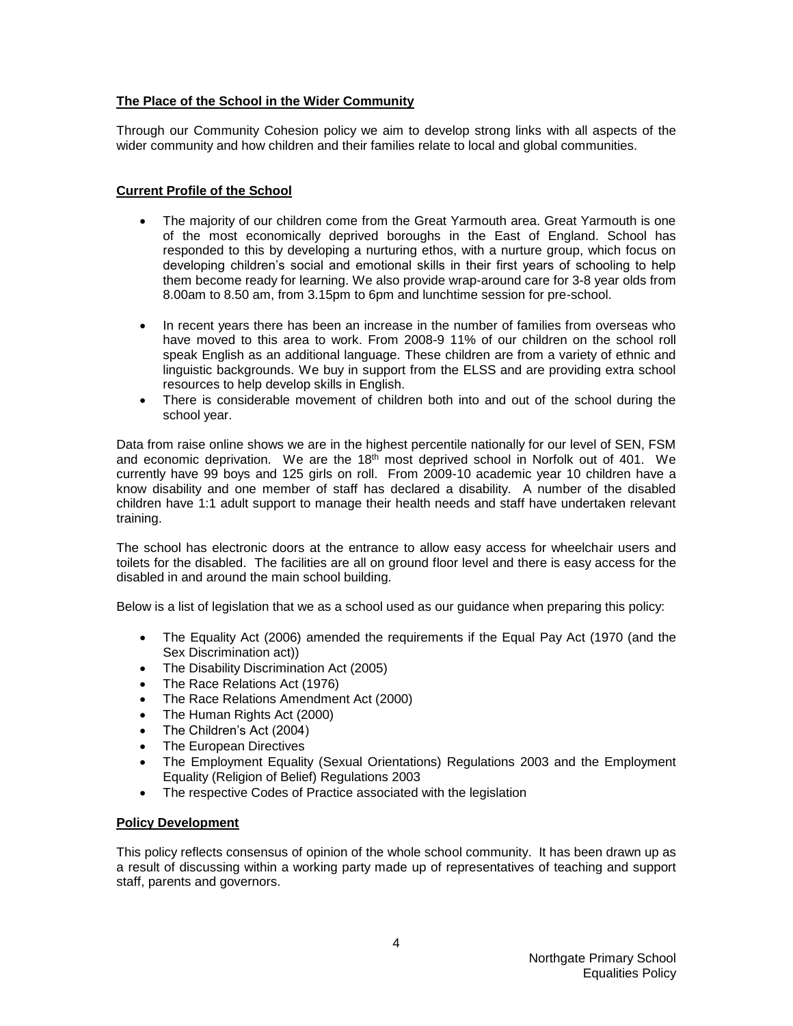#### **The Place of the School in the Wider Community**

Through our Community Cohesion policy we aim to develop strong links with all aspects of the wider community and how children and their families relate to local and global communities.

#### **Current Profile of the School**

- The majority of our children come from the Great Yarmouth area. Great Yarmouth is one of the most economically deprived boroughs in the East of England. School has responded to this by developing a nurturing ethos, with a nurture group, which focus on developing children's social and emotional skills in their first years of schooling to help them become ready for learning. We also provide wrap-around care for 3-8 year olds from 8.00am to 8.50 am, from 3.15pm to 6pm and lunchtime session for pre-school.
- In recent years there has been an increase in the number of families from overseas who have moved to this area to work. From 2008-9 11% of our children on the school roll speak English as an additional language. These children are from a variety of ethnic and linguistic backgrounds. We buy in support from the ELSS and are providing extra school resources to help develop skills in English.
- There is considerable movement of children both into and out of the school during the school year.

Data from raise online shows we are in the highest percentile nationally for our level of SEN, FSM and economic deprivation. We are the 18<sup>th</sup> most deprived school in Norfolk out of 401. We currently have 99 boys and 125 girls on roll. From 2009-10 academic year 10 children have a know disability and one member of staff has declared a disability. A number of the disabled children have 1:1 adult support to manage their health needs and staff have undertaken relevant training.

The school has electronic doors at the entrance to allow easy access for wheelchair users and toilets for the disabled. The facilities are all on ground floor level and there is easy access for the disabled in and around the main school building.

Below is a list of legislation that we as a school used as our guidance when preparing this policy:

- The Equality Act (2006) amended the requirements if the Equal Pay Act (1970 (and the Sex Discrimination act))
- The Disability Discrimination Act (2005)
- The Race Relations Act (1976)
- The Race Relations Amendment Act (2000)
- The Human Rights Act (2000)
- The Children's Act (2004)
- The European Directives
- The Employment Equality (Sexual Orientations) Regulations 2003 and the Employment Equality (Religion of Belief) Regulations 2003
- The respective Codes of Practice associated with the legislation

#### **Policy Development**

This policy reflects consensus of opinion of the whole school community. It has been drawn up as a result of discussing within a working party made up of representatives of teaching and support staff, parents and governors.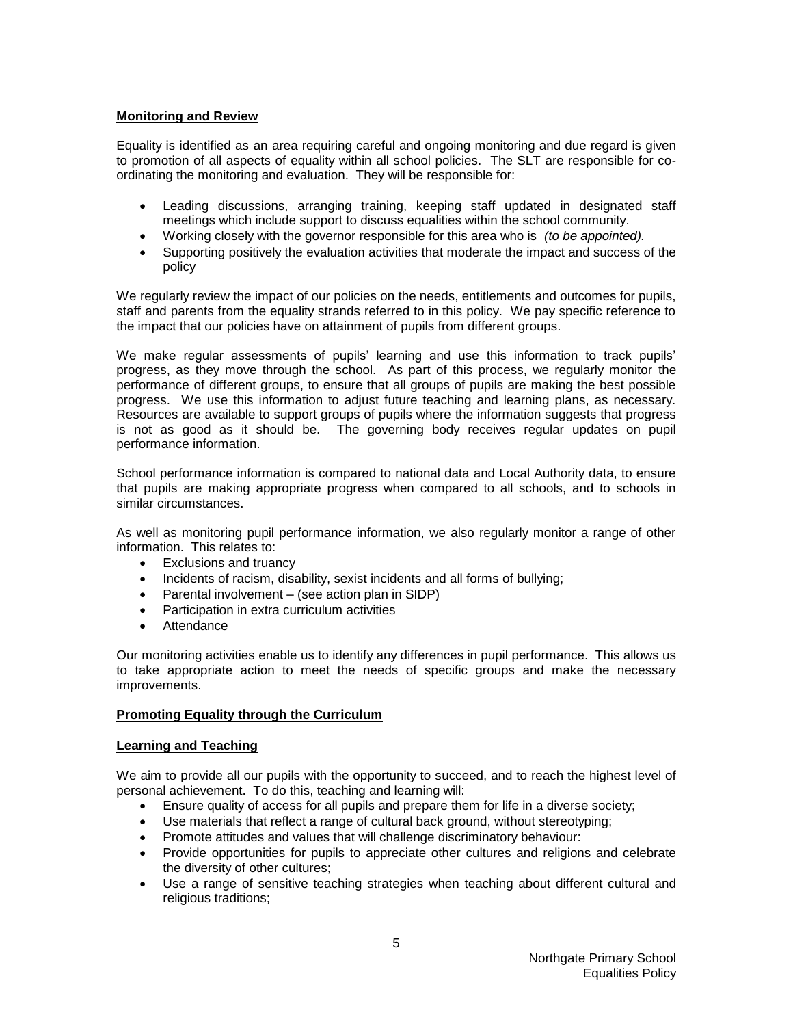#### **Monitoring and Review**

Equality is identified as an area requiring careful and ongoing monitoring and due regard is given to promotion of all aspects of equality within all school policies. The SLT are responsible for coordinating the monitoring and evaluation. They will be responsible for:

- Leading discussions, arranging training, keeping staff updated in designated staff meetings which include support to discuss equalities within the school community.
- Working closely with the governor responsible for this area who is *(to be appointed).*
- Supporting positively the evaluation activities that moderate the impact and success of the policy

We regularly review the impact of our policies on the needs, entitlements and outcomes for pupils, staff and parents from the equality strands referred to in this policy. We pay specific reference to the impact that our policies have on attainment of pupils from different groups.

We make regular assessments of pupils' learning and use this information to track pupils' progress, as they move through the school. As part of this process, we regularly monitor the performance of different groups, to ensure that all groups of pupils are making the best possible progress. We use this information to adjust future teaching and learning plans, as necessary. Resources are available to support groups of pupils where the information suggests that progress is not as good as it should be. The governing body receives regular updates on pupil performance information.

School performance information is compared to national data and Local Authority data, to ensure that pupils are making appropriate progress when compared to all schools, and to schools in similar circumstances.

As well as monitoring pupil performance information, we also regularly monitor a range of other information. This relates to:

- Exclusions and truancy
- Incidents of racism, disability, sexist incidents and all forms of bullying;
- Parental involvement (see action plan in SIDP)
- Participation in extra curriculum activities
- Attendance

Our monitoring activities enable us to identify any differences in pupil performance. This allows us to take appropriate action to meet the needs of specific groups and make the necessary improvements.

#### **Promoting Equality through the Curriculum**

#### **Learning and Teaching**

We aim to provide all our pupils with the opportunity to succeed, and to reach the highest level of personal achievement. To do this, teaching and learning will:

- Ensure quality of access for all pupils and prepare them for life in a diverse society;
- Use materials that reflect a range of cultural back ground, without stereotyping;
- Promote attitudes and values that will challenge discriminatory behaviour:
- Provide opportunities for pupils to appreciate other cultures and religions and celebrate the diversity of other cultures;
- Use a range of sensitive teaching strategies when teaching about different cultural and religious traditions;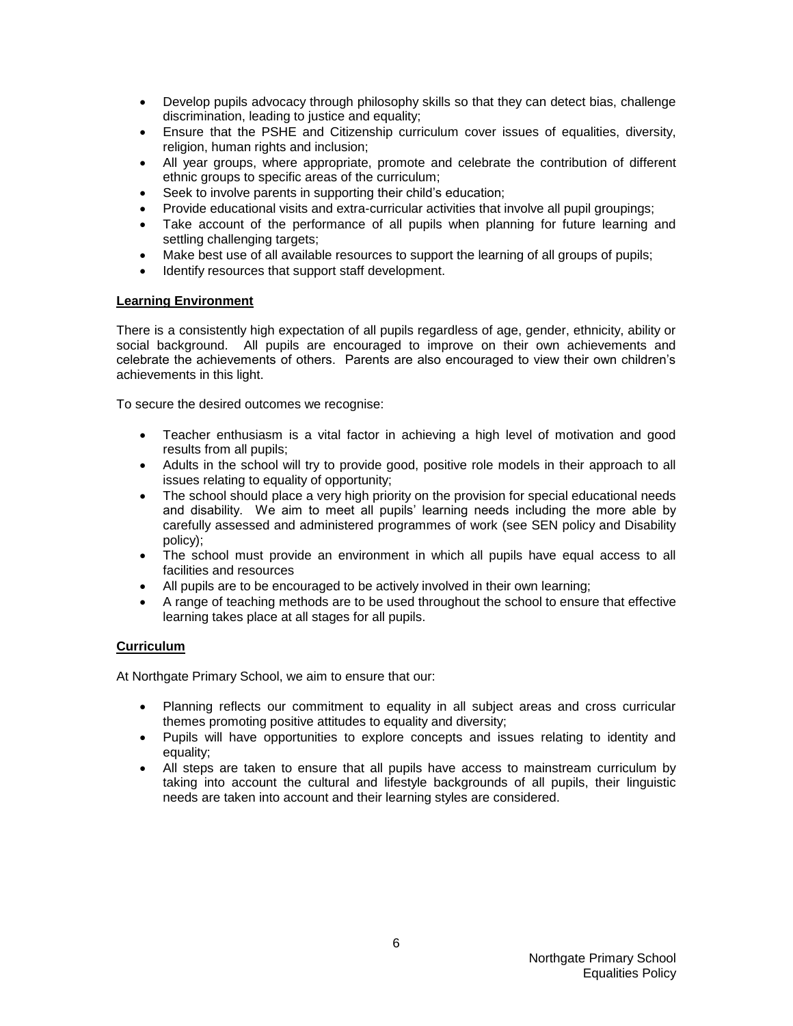- Develop pupils advocacy through philosophy skills so that they can detect bias, challenge discrimination, leading to justice and equality;
- Ensure that the PSHE and Citizenship curriculum cover issues of equalities, diversity, religion, human rights and inclusion;
- All year groups, where appropriate, promote and celebrate the contribution of different ethnic groups to specific areas of the curriculum;
- Seek to involve parents in supporting their child's education;
- Provide educational visits and extra-curricular activities that involve all pupil groupings;
- Take account of the performance of all pupils when planning for future learning and settling challenging targets;
- Make best use of all available resources to support the learning of all groups of pupils;
- Identify resources that support staff development.

#### **Learning Environment**

There is a consistently high expectation of all pupils regardless of age, gender, ethnicity, ability or social background. All pupils are encouraged to improve on their own achievements and celebrate the achievements of others. Parents are also encouraged to view their own children's achievements in this light.

To secure the desired outcomes we recognise:

- Teacher enthusiasm is a vital factor in achieving a high level of motivation and good results from all pupils;
- Adults in the school will try to provide good, positive role models in their approach to all issues relating to equality of opportunity;
- The school should place a very high priority on the provision for special educational needs and disability. We aim to meet all pupils' learning needs including the more able by carefully assessed and administered programmes of work (see SEN policy and Disability policy);
- The school must provide an environment in which all pupils have equal access to all facilities and resources
- All pupils are to be encouraged to be actively involved in their own learning;
- A range of teaching methods are to be used throughout the school to ensure that effective learning takes place at all stages for all pupils.

#### **Curriculum**

At Northgate Primary School, we aim to ensure that our:

- Planning reflects our commitment to equality in all subject areas and cross curricular themes promoting positive attitudes to equality and diversity;
- Pupils will have opportunities to explore concepts and issues relating to identity and equality;
- All steps are taken to ensure that all pupils have access to mainstream curriculum by taking into account the cultural and lifestyle backgrounds of all pupils, their linguistic needs are taken into account and their learning styles are considered.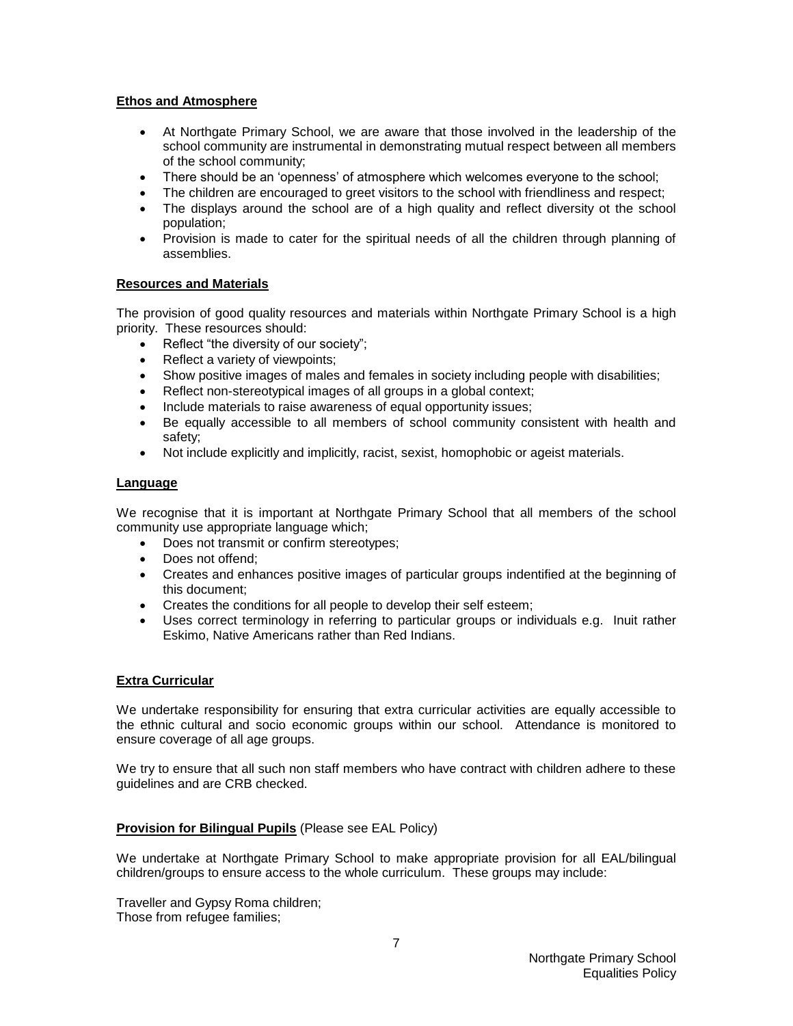#### **Ethos and Atmosphere**

- At Northgate Primary School, we are aware that those involved in the leadership of the school community are instrumental in demonstrating mutual respect between all members of the school community;
- There should be an 'openness' of atmosphere which welcomes everyone to the school;
- The children are encouraged to greet visitors to the school with friendliness and respect;
- The displays around the school are of a high quality and reflect diversity ot the school population;
- Provision is made to cater for the spiritual needs of all the children through planning of assemblies.

#### **Resources and Materials**

The provision of good quality resources and materials within Northgate Primary School is a high priority. These resources should:

- Reflect "the diversity of our society";
- Reflect a variety of viewpoints;
- Show positive images of males and females in society including people with disabilities;
- Reflect non-stereotypical images of all groups in a global context;
- Include materials to raise awareness of equal opportunity issues;
- Be equally accessible to all members of school community consistent with health and safety;
- Not include explicitly and implicitly, racist, sexist, homophobic or ageist materials.

#### **Language**

We recognise that it is important at Northgate Primary School that all members of the school community use appropriate language which;

- Does not transmit or confirm stereotypes;
- Does not offend:
- Creates and enhances positive images of particular groups indentified at the beginning of this document;
- Creates the conditions for all people to develop their self esteem;
- Uses correct terminology in referring to particular groups or individuals e.g. Inuit rather Eskimo, Native Americans rather than Red Indians.

#### **Extra Curricular**

We undertake responsibility for ensuring that extra curricular activities are equally accessible to the ethnic cultural and socio economic groups within our school. Attendance is monitored to ensure coverage of all age groups.

We try to ensure that all such non staff members who have contract with children adhere to these guidelines and are CRB checked.

#### **Provision for Bilingual Pupils** (Please see EAL Policy)

We undertake at Northgate Primary School to make appropriate provision for all EAL/bilingual children/groups to ensure access to the whole curriculum. These groups may include:

Traveller and Gypsy Roma children; Those from refugee families;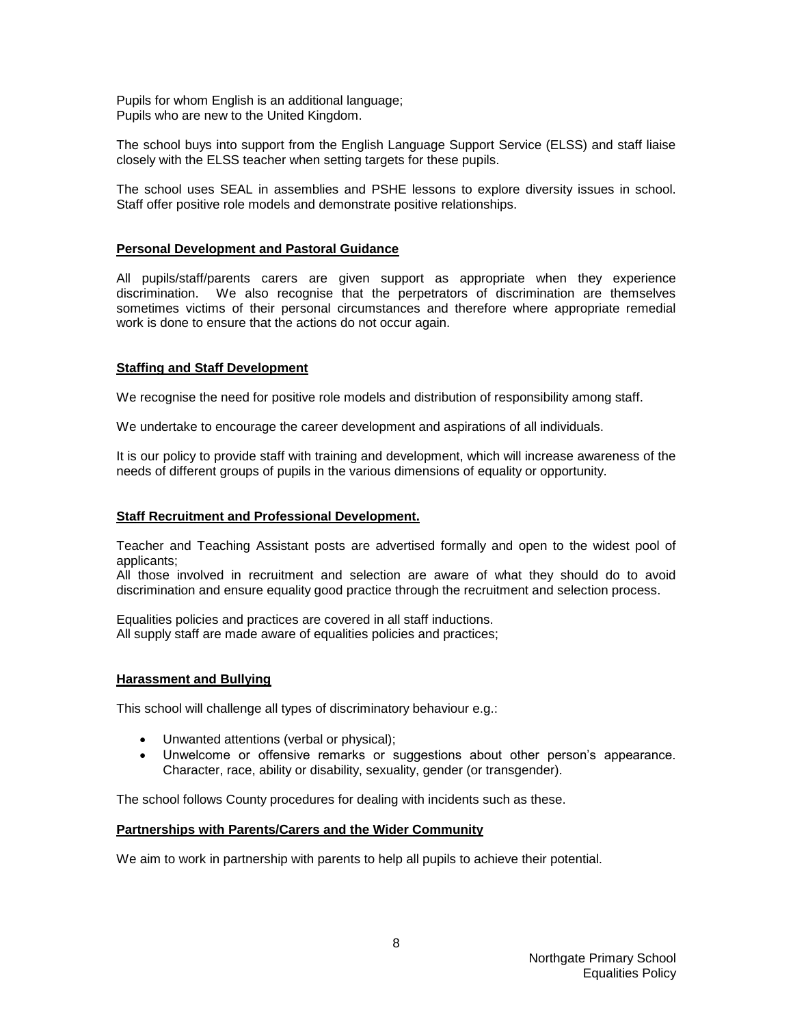Pupils for whom English is an additional language; Pupils who are new to the United Kingdom.

The school buys into support from the English Language Support Service (ELSS) and staff liaise closely with the ELSS teacher when setting targets for these pupils.

The school uses SEAL in assemblies and PSHE lessons to explore diversity issues in school. Staff offer positive role models and demonstrate positive relationships.

#### **Personal Development and Pastoral Guidance**

All pupils/staff/parents carers are given support as appropriate when they experience discrimination. We also recognise that the perpetrators of discrimination are themselves sometimes victims of their personal circumstances and therefore where appropriate remedial work is done to ensure that the actions do not occur again.

#### **Staffing and Staff Development**

We recognise the need for positive role models and distribution of responsibility among staff.

We undertake to encourage the career development and aspirations of all individuals.

It is our policy to provide staff with training and development, which will increase awareness of the needs of different groups of pupils in the various dimensions of equality or opportunity.

#### **Staff Recruitment and Professional Development.**

Teacher and Teaching Assistant posts are advertised formally and open to the widest pool of applicants;

All those involved in recruitment and selection are aware of what they should do to avoid discrimination and ensure equality good practice through the recruitment and selection process.

Equalities policies and practices are covered in all staff inductions. All supply staff are made aware of equalities policies and practices;

#### **Harassment and Bullying**

This school will challenge all types of discriminatory behaviour e.g.:

- Unwanted attentions (verbal or physical);
- Unwelcome or offensive remarks or suggestions about other person's appearance. Character, race, ability or disability, sexuality, gender (or transgender).

The school follows County procedures for dealing with incidents such as these.

#### **Partnerships with Parents/Carers and the Wider Community**

We aim to work in partnership with parents to help all pupils to achieve their potential.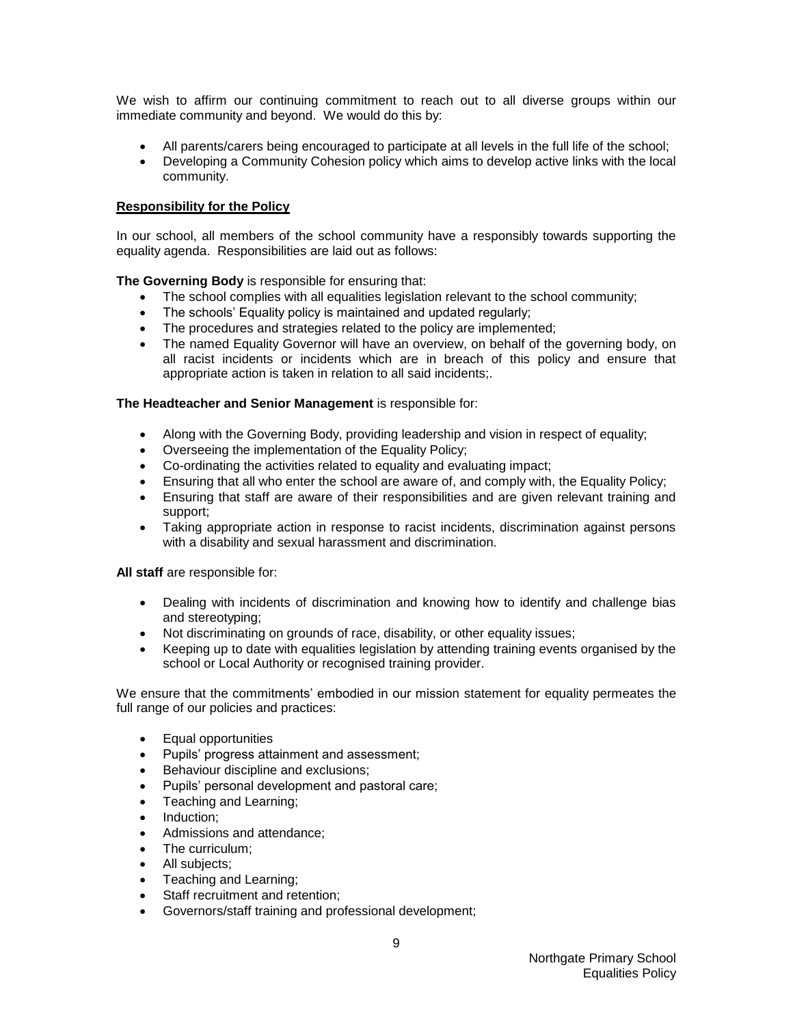We wish to affirm our continuing commitment to reach out to all diverse groups within our immediate community and beyond. We would do this by:

- All parents/carers being encouraged to participate at all levels in the full life of the school;
- Developing a Community Cohesion policy which aims to develop active links with the local community.

#### **Responsibility for the Policy**

In our school, all members of the school community have a responsibly towards supporting the equality agenda. Responsibilities are laid out as follows:

**The Governing Body** is responsible for ensuring that:

- The school complies with all equalities legislation relevant to the school community;
- The schools' Equality policy is maintained and updated regularly;
- The procedures and strategies related to the policy are implemented;
- The named Equality Governor will have an overview, on behalf of the governing body, on all racist incidents or incidents which are in breach of this policy and ensure that appropriate action is taken in relation to all said incidents;.

#### **The Headteacher and Senior Management** is responsible for:

- Along with the Governing Body, providing leadership and vision in respect of equality;
- Overseeing the implementation of the Equality Policy;
- Co-ordinating the activities related to equality and evaluating impact;
- Ensuring that all who enter the school are aware of, and comply with, the Equality Policy;
- Ensuring that staff are aware of their responsibilities and are given relevant training and support;
- Taking appropriate action in response to racist incidents, discrimination against persons with a disability and sexual harassment and discrimination.

**All staff** are responsible for:

- Dealing with incidents of discrimination and knowing how to identify and challenge bias and stereotyping;
- Not discriminating on grounds of race, disability, or other equality issues;
- Keeping up to date with equalities legislation by attending training events organised by the school or Local Authority or recognised training provider.

We ensure that the commitments' embodied in our mission statement for equality permeates the full range of our policies and practices:

- Equal opportunities
- Pupils' progress attainment and assessment;
- Behaviour discipline and exclusions:
- Pupils' personal development and pastoral care;
- Teaching and Learning;
- Induction;
- Admissions and attendance;
- The curriculum;
- All subjects:
- Teaching and Learning;
- Staff recruitment and retention;
- Governors/staff training and professional development;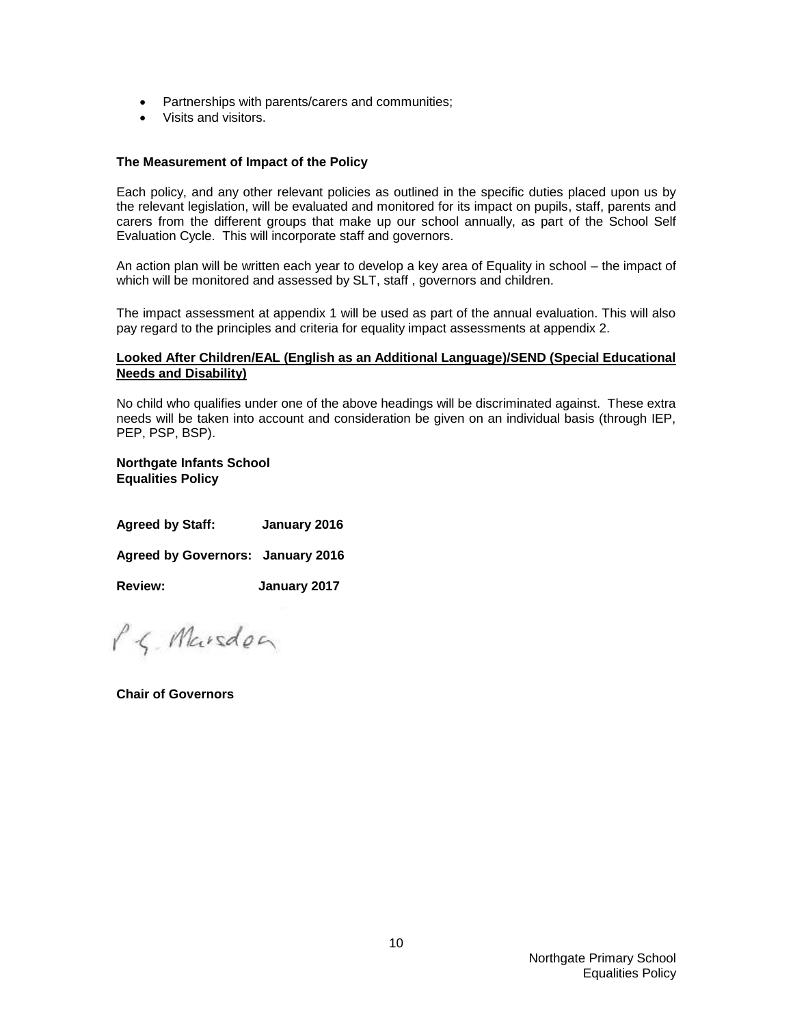- Partnerships with parents/carers and communities;
- Visits and visitors.

#### **The Measurement of Impact of the Policy**

Each policy, and any other relevant policies as outlined in the specific duties placed upon us by the relevant legislation, will be evaluated and monitored for its impact on pupils, staff, parents and carers from the different groups that make up our school annually, as part of the School Self Evaluation Cycle. This will incorporate staff and governors.

An action plan will be written each year to develop a key area of Equality in school – the impact of which will be monitored and assessed by SLT, staff, governors and children.

The impact assessment at appendix 1 will be used as part of the annual evaluation. This will also pay regard to the principles and criteria for equality impact assessments at appendix 2.

#### **Looked After Children/EAL (English as an Additional Language)/SEND (Special Educational Needs and Disability)**

No child who qualifies under one of the above headings will be discriminated against. These extra needs will be taken into account and consideration be given on an individual basis (through IEP, PEP, PSP, BSP).

**Northgate Infants School Equalities Policy**

| <b>Agreed by Staff:</b> | January 2016 |
|-------------------------|--------------|
|-------------------------|--------------|

**Agreed by Governors: January 2016**

**Review: January 2017**

P.S. Marsdon

**Chair of Governors**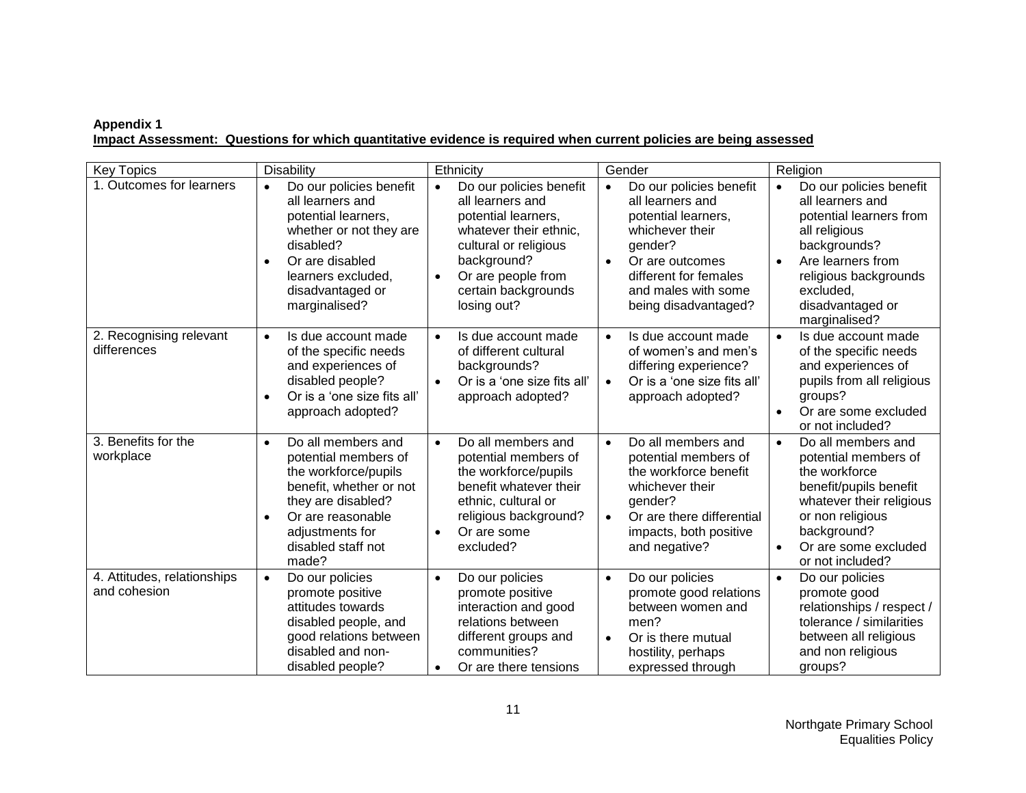#### **Appendix 1 Impact Assessment: Questions for which quantitative evidence is required when current policies are being assessed**

| <b>Key Topics</b>                           | Disability                                                                                                                                                                                                           | Ethnicity                                                                                                                                                                                                                  | Gender                                                                                                                                                                                                                | Religion                                                                                                                                                                                                                          |
|---------------------------------------------|----------------------------------------------------------------------------------------------------------------------------------------------------------------------------------------------------------------------|----------------------------------------------------------------------------------------------------------------------------------------------------------------------------------------------------------------------------|-----------------------------------------------------------------------------------------------------------------------------------------------------------------------------------------------------------------------|-----------------------------------------------------------------------------------------------------------------------------------------------------------------------------------------------------------------------------------|
| 1. Outcomes for learners                    | Do our policies benefit<br>all learners and<br>potential learners,<br>whether or not they are<br>disabled?<br>Or are disabled<br>$\bullet$<br>learners excluded,<br>disadvantaged or<br>marginalised?                | Do our policies benefit<br>$\bullet$<br>all learners and<br>potential learners,<br>whatever their ethnic,<br>cultural or religious<br>background?<br>Or are people from<br>$\bullet$<br>certain backgrounds<br>losing out? | Do our policies benefit<br>$\bullet$<br>all learners and<br>potential learners,<br>whichever their<br>gender?<br>Or are outcomes<br>$\bullet$<br>different for females<br>and males with some<br>being disadvantaged? | Do our policies benefit<br>$\bullet$<br>all learners and<br>potential learners from<br>all religious<br>backgrounds?<br>Are learners from<br>$\bullet$<br>religious backgrounds<br>excluded,<br>disadvantaged or<br>marginalised? |
| 2. Recognising relevant<br>differences      | Is due account made<br>$\bullet$<br>of the specific needs<br>and experiences of<br>disabled people?<br>Or is a 'one size fits all'<br>$\bullet$<br>approach adopted?                                                 | Is due account made<br>$\bullet$<br>of different cultural<br>backgrounds?<br>Or is a 'one size fits all'<br>$\bullet$<br>approach adopted?                                                                                 | Is due account made<br>$\bullet$<br>of women's and men's<br>differing experience?<br>Or is a 'one size fits all'<br>$\bullet$<br>approach adopted?                                                                    | Is due account made<br>$\bullet$<br>of the specific needs<br>and experiences of<br>pupils from all religious<br>groups?<br>Or are some excluded<br>$\bullet$<br>or not included?                                                  |
| 3. Benefits for the<br>workplace            | Do all members and<br>$\bullet$<br>potential members of<br>the workforce/pupils<br>benefit, whether or not<br>they are disabled?<br>Or are reasonable<br>$\bullet$<br>adjustments for<br>disabled staff not<br>made? | Do all members and<br>$\bullet$<br>potential members of<br>the workforce/pupils<br>benefit whatever their<br>ethnic, cultural or<br>religious background?<br>Or are some<br>excluded?                                      | Do all members and<br>$\bullet$<br>potential members of<br>the workforce benefit<br>whichever their<br>gender?<br>Or are there differential<br>$\bullet$<br>impacts, both positive<br>and negative?                   | Do all members and<br>$\bullet$<br>potential members of<br>the workforce<br>benefit/pupils benefit<br>whatever their religious<br>or non religious<br>background?<br>Or are some excluded<br>$\bullet$<br>or not included?        |
| 4. Attitudes, relationships<br>and cohesion | Do our policies<br>$\bullet$<br>promote positive<br>attitudes towards<br>disabled people, and<br>good relations between<br>disabled and non-<br>disabled people?                                                     | Do our policies<br>$\bullet$<br>promote positive<br>interaction and good<br>relations between<br>different groups and<br>communities?<br>Or are there tensions<br>$\bullet$                                                | Do our policies<br>$\bullet$<br>promote good relations<br>between women and<br>men?<br>Or is there mutual<br>$\bullet$<br>hostility, perhaps<br>expressed through                                                     | Do our policies<br>$\bullet$<br>promote good<br>relationships / respect /<br>tolerance / similarities<br>between all religious<br>and non religious<br>groups?                                                                    |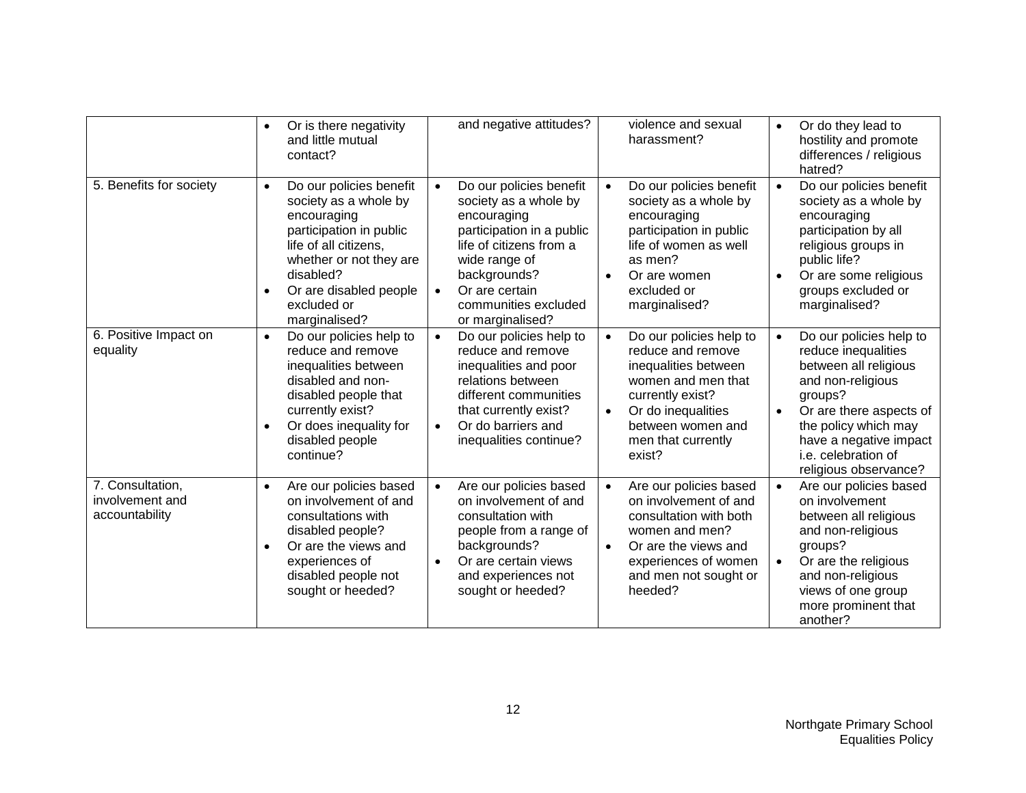|                                                       | Or is there negativity<br>$\bullet$<br>and little mutual<br>contact?                                                                                                                                                                            | and negative attitudes?                                                                                                                                                                                                | violence and sexual<br>harassment?                                                                                                                                                                                  | Or do they lead to<br>$\bullet$<br>hostility and promote<br>differences / religious<br>hatred?                                                                                                                                                                        |
|-------------------------------------------------------|-------------------------------------------------------------------------------------------------------------------------------------------------------------------------------------------------------------------------------------------------|------------------------------------------------------------------------------------------------------------------------------------------------------------------------------------------------------------------------|---------------------------------------------------------------------------------------------------------------------------------------------------------------------------------------------------------------------|-----------------------------------------------------------------------------------------------------------------------------------------------------------------------------------------------------------------------------------------------------------------------|
| 5. Benefits for society                               | Do our policies benefit<br>$\bullet$<br>society as a whole by<br>encouraging<br>participation in public<br>life of all citizens,<br>whether or not they are<br>disabled?<br>Or are disabled people<br>$\bullet$<br>excluded or<br>marginalised? | Do our policies benefit<br>society as a whole by<br>encouraging<br>participation in a public<br>life of citizens from a<br>wide range of<br>backgrounds?<br>Or are certain<br>communities excluded<br>or marginalised? | Do our policies benefit<br>$\bullet$<br>society as a whole by<br>encouraging<br>participation in public<br>life of women as well<br>as men?<br>Or are women<br>$\bullet$<br>excluded or<br>marginalised?            | Do our policies benefit<br>$\bullet$<br>society as a whole by<br>encouraging<br>participation by all<br>religious groups in<br>public life?<br>Or are some religious<br>$\bullet$<br>groups excluded or<br>marginalised?                                              |
| 6. Positive Impact on<br>equality                     | Do our policies help to<br>$\bullet$<br>reduce and remove<br>inequalities between<br>disabled and non-<br>disabled people that<br>currently exist?<br>Or does inequality for<br>$\bullet$<br>disabled people<br>continue?                       | Do our policies help to<br>$\bullet$<br>reduce and remove<br>inequalities and poor<br>relations between<br>different communities<br>that currently exist?<br>Or do barriers and<br>$\bullet$<br>inequalities continue? | Do our policies help to<br>$\bullet$<br>reduce and remove<br>inequalities between<br>women and men that<br>currently exist?<br>Or do inequalities<br>$\bullet$<br>between women and<br>men that currently<br>exist? | Do our policies help to<br>$\bullet$<br>reduce inequalities<br>between all religious<br>and non-religious<br>groups?<br>Or are there aspects of<br>$\bullet$<br>the policy which may<br>have a negative impact<br><i>i.e.</i> celebration of<br>religious observance? |
| 7. Consultation,<br>involvement and<br>accountability | Are our policies based<br>$\bullet$<br>on involvement of and<br>consultations with<br>disabled people?<br>Or are the views and<br>experiences of<br>disabled people not<br>sought or heeded?                                                    | Are our policies based<br>on involvement of and<br>consultation with<br>people from a range of<br>backgrounds?<br>Or are certain views<br>$\bullet$<br>and experiences not<br>sought or heeded?                        | Are our policies based<br>$\bullet$<br>on involvement of and<br>consultation with both<br>women and men?<br>Or are the views and<br>$\bullet$<br>experiences of women<br>and men not sought or<br>heeded?           | Are our policies based<br>on involvement<br>between all religious<br>and non-religious<br>groups?<br>Or are the religious<br>$\bullet$<br>and non-religious<br>views of one group<br>more prominent that<br>another?                                                  |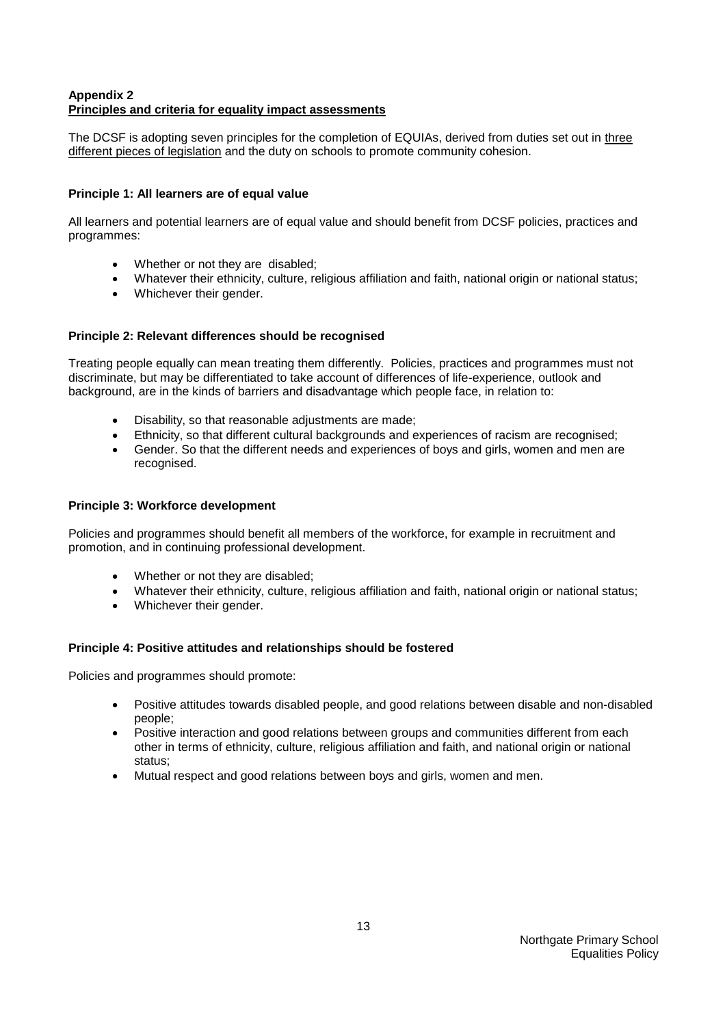#### **Appendix 2 Principles and criteria for equality impact assessments**

The DCSF is adopting seven principles for the completion of EQUIAs, derived from duties set out in three different pieces of legislation and the duty on schools to promote community cohesion.

#### **Principle 1: All learners are of equal value**

All learners and potential learners are of equal value and should benefit from DCSF policies, practices and programmes:

- Whether or not they are disabled;
- Whatever their ethnicity, culture, religious affiliation and faith, national origin or national status;
- Whichever their gender.

#### **Principle 2: Relevant differences should be recognised**

Treating people equally can mean treating them differently. Policies, practices and programmes must not discriminate, but may be differentiated to take account of differences of life-experience, outlook and background, are in the kinds of barriers and disadvantage which people face, in relation to:

- Disability, so that reasonable adjustments are made;
- Ethnicity, so that different cultural backgrounds and experiences of racism are recognised;
- Gender. So that the different needs and experiences of boys and girls, women and men are recognised.

#### **Principle 3: Workforce development**

Policies and programmes should benefit all members of the workforce, for example in recruitment and promotion, and in continuing professional development.

- Whether or not they are disabled;
- Whatever their ethnicity, culture, religious affiliation and faith, national origin or national status;
- Whichever their gender.

#### **Principle 4: Positive attitudes and relationships should be fostered**

Policies and programmes should promote:

- Positive attitudes towards disabled people, and good relations between disable and non-disabled people;
- Positive interaction and good relations between groups and communities different from each other in terms of ethnicity, culture, religious affiliation and faith, and national origin or national status;
- Mutual respect and good relations between boys and girls, women and men.